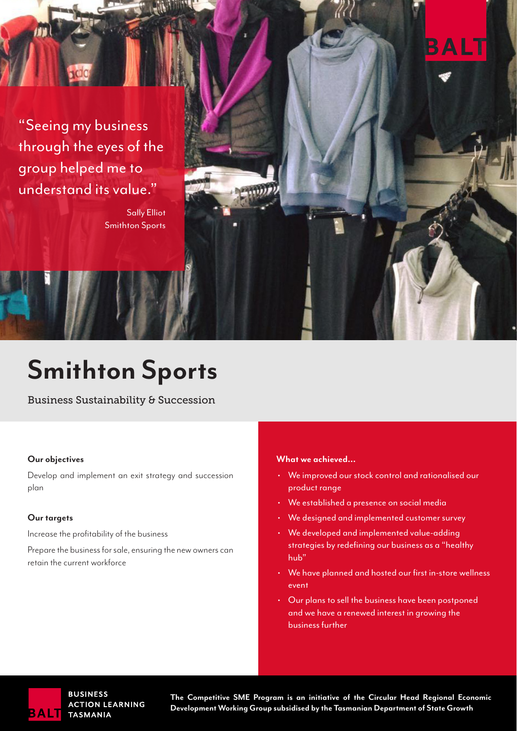"Seeing my business through the eyes of the group helped me to understand its value."

> Sally Elliot Smithton Sports

## **Smithton Sports**

Business Sustainability & Succession

#### **Our objectives**

Develop and implement an exit strategy and succession plan

#### **Our targets**

Increase the profitability of the business

Prepare the business for sale, ensuring the new owners can retain the current workforce

#### **What we achieved...**

• We improved our stock control and rationalised our product range

ALT

- We established a presence on social media
- We designed and implemented customer survey
- We developed and implemented value-adding strategies by redefining our business as a "healthy hub"
- We have planned and hosted our first in-store wellness event
- Our plans to sell the business have been postponed and we have a renewed interest in growing the business further



**BUSINESS ACTION LEARNING TASMANIA** 

**The Competitive SME Program is an initiative of the Circular Head Regional Economic Development Working Group subsidised by the Tasmanian Department of State Growth**